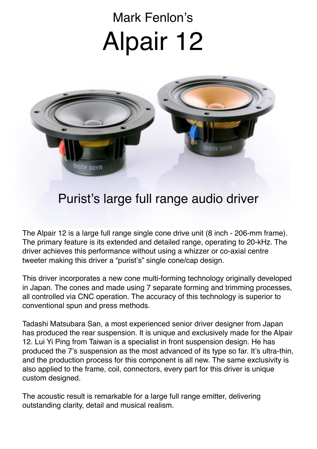## Mark Fenlon's Alpair 12



## Purist's large full range audio driver

The Alpair 12 is a large full range single cone drive unit (8 inch - 206-mm frame). The primary feature is its extended and detailed range, operating to 20-kHz. The driver achieves this performance without using a whizzer or co-axial centre tweeter making this driver a "purist's" single cone/cap design.

This driver incorporates a new cone multi-forming technology originally developed in Japan. The cones and made using 7 separate forming and trimming processes, all controlled via CNC operation. The accuracy of this technology is superior to conventional spun and press methods.

Tadashi Matsubara San, a most experienced senior driver designer from Japan has produced the rear suspension. It is unique and exclusively made for the Alpair 12. Lui Yi Ping from Taiwan is a specialist in front suspension design. He has produced the 7's suspension as the most advanced of its type so far. It's ultra-thin, and the production process for this component is all new. The same exclusivity is also applied to the frame, coil, connectors, every part for this driver is unique custom designed.

The acoustic result is remarkable for a large full range emitter, delivering outstanding clarity, detail and musical realism.